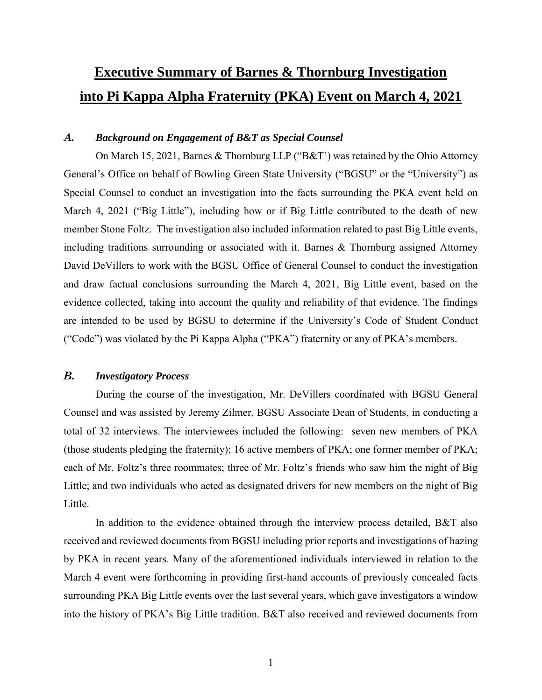# **Executive Summary of Barnes & Thornburg Investigation into Pi Kappa Alpha Fraternity (PKA) Event on March 4, 2021**

### *A. Background on Engagement of B&T as Special Counsel*

On March 15, 2021, Barnes & Thornburg LLP ("B&T') was retained by the Ohio Attorney General's Office on behalf of Bowling Green State University ("BGSU" or the "University") as Special Counsel to conduct an investigation into the facts surrounding the PKA event held on March 4, 2021 ("Big Little"), including how or if Big Little contributed to the death of new member Stone Foltz. The investigation also included information related to past Big Little events, including traditions surrounding or associated with it. Barnes & Thornburg assigned Attorney David DeVillers to work with the BGSU Office of General Counsel to conduct the investigation and draw factual conclusions surrounding the March 4, 2021, Big Little event, based on the evidence collected, taking into account the quality and reliability of that evidence. The findings are intended to be used by BGSU to determine if the University's Code of Student Conduct ("Code") was violated by the Pi Kappa Alpha ("PKA") fraternity or any of PKA's members.

#### *B. Investigatory Process*

During the course of the investigation, Mr. DeVillers coordinated with BGSU General Counsel and was assisted by Jeremy Zilmer, BGSU Associate Dean of Students, in conducting a total of 32 interviews. The interviewees included the following: seven new members of PKA (those students pledging the fraternity); 16 active members of PKA; one former member of PKA; each of Mr. Foltz's three roommates; three of Mr. Foltz's friends who saw him the night of Big Little; and two individuals who acted as designated drivers for new members on the night of Big Little.

In addition to the evidence obtained through the interview process detailed, B&T also received and reviewed documents from BGSU including prior reports and investigations of hazing by PKA in recent years. Many of the aforementioned individuals interviewed in relation to the March 4 event were forthcoming in providing first-hand accounts of previously concealed facts surrounding PKA Big Little events over the last several years, which gave investigators a window into the history of PKA's Big Little tradition. B&T also received and reviewed documents from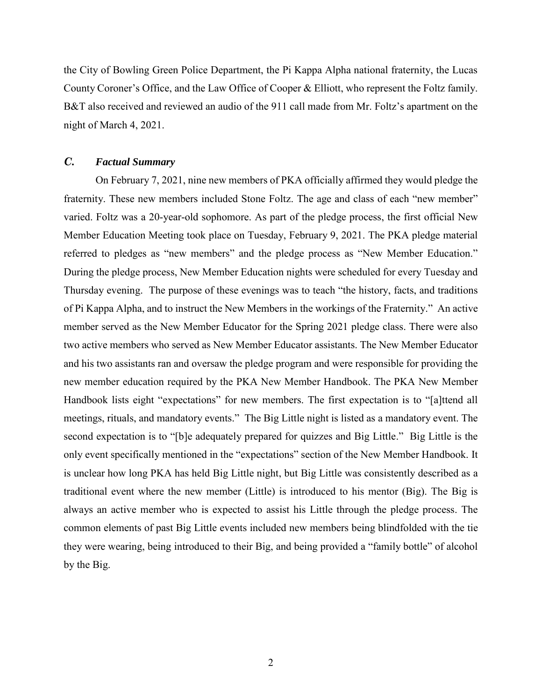the City of Bowling Green Police Department, the Pi Kappa Alpha national fraternity, the Lucas County Coroner's Office, and the Law Office of Cooper & Elliott, who represent the Foltz family. B&T also received and reviewed an audio of the 911 call made from Mr. Foltz's apartment on the night of March 4, 2021.

#### *C. Factual Summary*

On February 7, 2021, nine new members of PKA officially affirmed they would pledge the fraternity. These new members included Stone Foltz. The age and class of each "new member" varied. Foltz was a 20-year-old sophomore. As part of the pledge process, the first official New Member Education Meeting took place on Tuesday, February 9, 2021. The PKA pledge material referred to pledges as "new members" and the pledge process as "New Member Education." During the pledge process, New Member Education nights were scheduled for every Tuesday and Thursday evening. The purpose of these evenings was to teach "the history, facts, and traditions of Pi Kappa Alpha, and to instruct the New Members in the workings of the Fraternity." An active member served as the New Member Educator for the Spring 2021 pledge class. There were also two active members who served as New Member Educator assistants. The New Member Educator and his two assistants ran and oversaw the pledge program and were responsible for providing the new member education required by the PKA New Member Handbook. The PKA New Member Handbook lists eight "expectations" for new members. The first expectation is to "[a]ttend all meetings, rituals, and mandatory events." The Big Little night is listed as a mandatory event. The second expectation is to "[b]e adequately prepared for quizzes and Big Little." Big Little is the only event specifically mentioned in the "expectations" section of the New Member Handbook. It is unclear how long PKA has held Big Little night, but Big Little was consistently described as a traditional event where the new member (Little) is introduced to his mentor (Big). The Big is always an active member who is expected to assist his Little through the pledge process. The common elements of past Big Little events included new members being blindfolded with the tie they were wearing, being introduced to their Big, and being provided a "family bottle" of alcohol by the Big.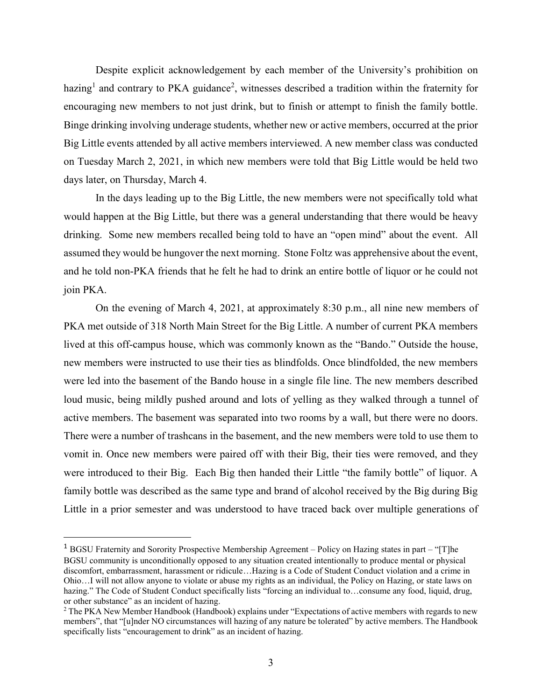Despite explicit acknowledgement by each member of the University's prohibition on hazing<sup>1</sup> and contrary to PKA guidance<sup>2</sup>, witnesses described a tradition within the fraternity for encouraging new members to not just drink, but to finish or attempt to finish the family bottle. Binge drinking involving underage students, whether new or active members, occurred at the prior Big Little events attended by all active members interviewed. A new member class was conducted on Tuesday March 2, 2021, in which new members were told that Big Little would be held two days later, on Thursday, March 4.

In the days leading up to the Big Little, the new members were not specifically told what would happen at the Big Little, but there was a general understanding that there would be heavy drinking. Some new members recalled being told to have an "open mind" about the event. All assumed they would be hungover the next morning. Stone Foltz was apprehensive about the event, and he told non-PKA friends that he felt he had to drink an entire bottle of liquor or he could not join PKA.

On the evening of March 4, 2021, at approximately 8:30 p.m., all nine new members of PKA met outside of 318 North Main Street for the Big Little. A number of current PKA members lived at this off-campus house, which was commonly known as the "Bando." Outside the house, new members were instructed to use their ties as blindfolds. Once blindfolded, the new members were led into the basement of the Bando house in a single file line. The new members described loud music, being mildly pushed around and lots of yelling as they walked through a tunnel of active members. The basement was separated into two rooms by a wall, but there were no doors. There were a number of trashcans in the basement, and the new members were told to use them to vomit in. Once new members were paired off with their Big, their ties were removed, and they were introduced to their Big. Each Big then handed their Little "the family bottle" of liquor. A family bottle was described as the same type and brand of alcohol received by the Big during Big Little in a prior semester and was understood to have traced back over multiple generations of

 $\overline{a}$ 

<sup>1</sup> BGSU Fraternity and Sorority Prospective Membership Agreement – Policy on Hazing states in part – "[T]he BGSU community is unconditionally opposed to any situation created intentionally to produce mental or physical discomfort, embarrassment, harassment or ridicule…Hazing is a Code of Student Conduct violation and a crime in Ohio…I will not allow anyone to violate or abuse my rights as an individual, the Policy on Hazing, or state laws on hazing." The Code of Student Conduct specifically lists "forcing an individual to...consume any food, liquid, drug, or other substance" as an incident of hazing.

<sup>&</sup>lt;sup>2</sup> The PKA New Member Handbook (Handbook) explains under "Expectations of active members with regards to new members", that "[u]nder NO circumstances will hazing of any nature be tolerated" by active members. The Handbook specifically lists "encouragement to drink" as an incident of hazing.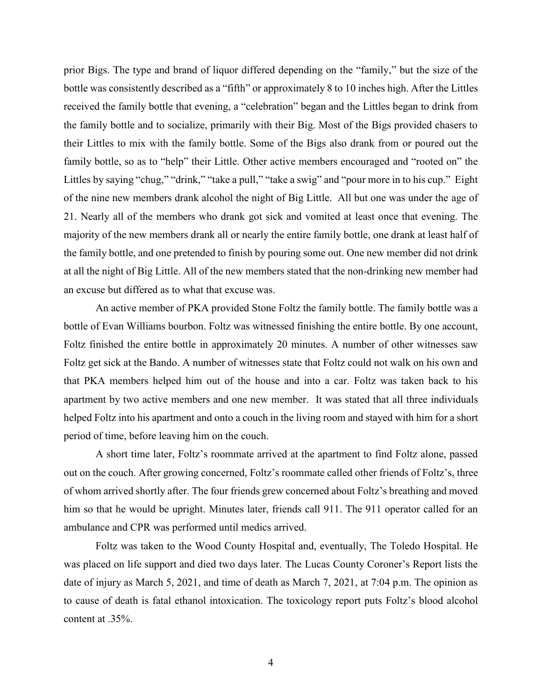prior Bigs. The type and brand of liquor differed depending on the "family," but the size of the bottle was consistently described as a "fifth" or approximately 8 to 10 inches high. After the Littles received the family bottle that evening, a "celebration" began and the Littles began to drink from the family bottle and to socialize, primarily with their Big. Most of the Bigs provided chasers to their Littles to mix with the family bottle. Some of the Bigs also drank from or poured out the family bottle, so as to "help" their Little. Other active members encouraged and "rooted on" the Littles by saying "chug," "drink," "take a pull," "take a swig" and "pour more in to his cup." Eight of the nine new members drank alcohol the night of Big Little. All but one was under the age of 21. Nearly all of the members who drank got sick and vomited at least once that evening. The majority of the new members drank all or nearly the entire family bottle, one drank at least half of the family bottle, and one pretended to finish by pouring some out. One new member did not drink at all the night of Big Little. All of the new members stated that the non-drinking new member had an excuse but differed as to what that excuse was.

An active member of PKA provided Stone Foltz the family bottle. The family bottle was a bottle of Evan Williams bourbon. Foltz was witnessed finishing the entire bottle. By one account, Foltz finished the entire bottle in approximately 20 minutes. A number of other witnesses saw Foltz get sick at the Bando. A number of witnesses state that Foltz could not walk on his own and that PKA members helped him out of the house and into a car. Foltz was taken back to his apartment by two active members and one new member. It was stated that all three individuals helped Foltz into his apartment and onto a couch in the living room and stayed with him for a short period of time, before leaving him on the couch.

A short time later, Foltz's roommate arrived at the apartment to find Foltz alone, passed out on the couch. After growing concerned, Foltz's roommate called other friends of Foltz's, three of whom arrived shortly after. The four friends grew concerned about Foltz's breathing and moved him so that he would be upright. Minutes later, friends call 911. The 911 operator called for an ambulance and CPR was performed until medics arrived.

Foltz was taken to the Wood County Hospital and, eventually, The Toledo Hospital. He was placed on life support and died two days later. The Lucas County Coroner's Report lists the date of injury as March 5, 2021, and time of death as March 7, 2021, at 7:04 p.m. The opinion as to cause of death is fatal ethanol intoxication. The toxicology report puts Foltz's blood alcohol content at .35%.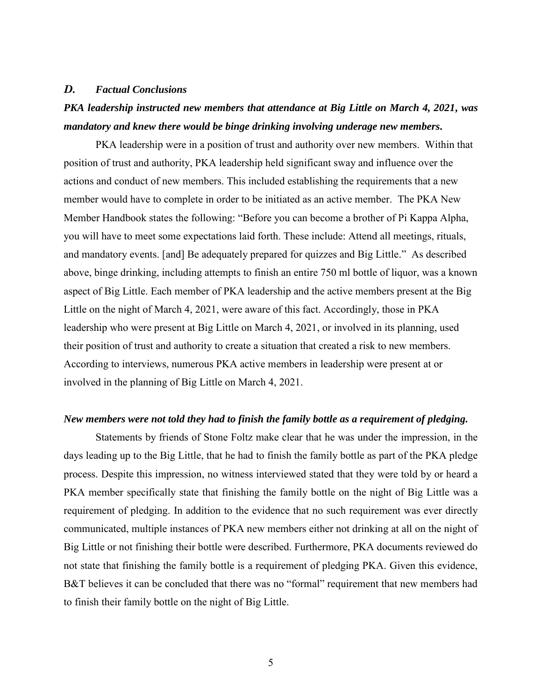#### *D. Factual Conclusions*

# *PKA leadership instructed new members that attendance at Big Little on March 4, 2021, was mandatory and knew there would be binge drinking involving underage new members.*

PKA leadership were in a position of trust and authority over new members. Within that position of trust and authority, PKA leadership held significant sway and influence over the actions and conduct of new members. This included establishing the requirements that a new member would have to complete in order to be initiated as an active member. The PKA New Member Handbook states the following: "Before you can become a brother of Pi Kappa Alpha, you will have to meet some expectations laid forth. These include: Attend all meetings, rituals, and mandatory events. [and] Be adequately prepared for quizzes and Big Little." As described above, binge drinking, including attempts to finish an entire 750 ml bottle of liquor, was a known aspect of Big Little. Each member of PKA leadership and the active members present at the Big Little on the night of March 4, 2021, were aware of this fact. Accordingly, those in PKA leadership who were present at Big Little on March 4, 2021, or involved in its planning, used their position of trust and authority to create a situation that created a risk to new members. According to interviews, numerous PKA active members in leadership were present at or involved in the planning of Big Little on March 4, 2021.

#### *New members were not told they had to finish the family bottle as a requirement of pledging.*

Statements by friends of Stone Foltz make clear that he was under the impression, in the days leading up to the Big Little, that he had to finish the family bottle as part of the PKA pledge process. Despite this impression, no witness interviewed stated that they were told by or heard a PKA member specifically state that finishing the family bottle on the night of Big Little was a requirement of pledging. In addition to the evidence that no such requirement was ever directly communicated, multiple instances of PKA new members either not drinking at all on the night of Big Little or not finishing their bottle were described. Furthermore, PKA documents reviewed do not state that finishing the family bottle is a requirement of pledging PKA. Given this evidence, B&T believes it can be concluded that there was no "formal" requirement that new members had to finish their family bottle on the night of Big Little.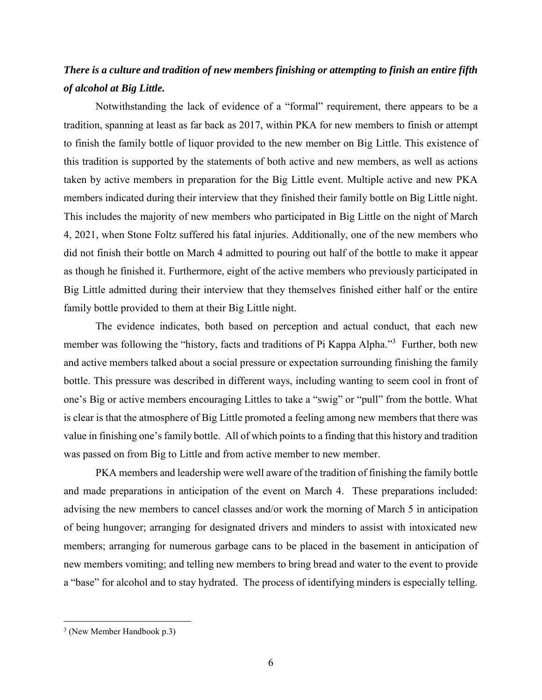## *There is a culture and tradition of new members finishing or attempting to finish an entire fifth of alcohol at Big Little.*

Notwithstanding the lack of evidence of a "formal" requirement, there appears to be a tradition, spanning at least as far back as 2017, within PKA for new members to finish or attempt to finish the family bottle of liquor provided to the new member on Big Little. This existence of this tradition is supported by the statements of both active and new members, as well as actions taken by active members in preparation for the Big Little event. Multiple active and new PKA members indicated during their interview that they finished their family bottle on Big Little night. This includes the majority of new members who participated in Big Little on the night of March 4, 2021, when Stone Foltz suffered his fatal injuries. Additionally, one of the new members who did not finish their bottle on March 4 admitted to pouring out half of the bottle to make it appear as though he finished it. Furthermore, eight of the active members who previously participated in Big Little admitted during their interview that they themselves finished either half or the entire family bottle provided to them at their Big Little night.

The evidence indicates, both based on perception and actual conduct, that each new member was following the "history, facts and traditions of Pi Kappa Alpha."<sup>3</sup> Further, both new and active members talked about a social pressure or expectation surrounding finishing the family bottle. This pressure was described in different ways, including wanting to seem cool in front of one's Big or active members encouraging Littles to take a "swig" or "pull" from the bottle. What is clear is that the atmosphere of Big Little promoted a feeling among new members that there was value in finishing one's family bottle. All of which points to a finding that this history and tradition was passed on from Big to Little and from active member to new member.

PKA members and leadership were well aware of the tradition of finishing the family bottle and made preparations in anticipation of the event on March 4. These preparations included: advising the new members to cancel classes and/or work the morning of March 5 in anticipation of being hungover; arranging for designated drivers and minders to assist with intoxicated new members; arranging for numerous garbage cans to be placed in the basement in anticipation of new members vomiting; and telling new members to bring bread and water to the event to provide a "base" for alcohol and to stay hydrated. The process of identifying minders is especially telling.

 $\overline{a}$ 

<sup>3</sup> (New Member Handbook p.3)